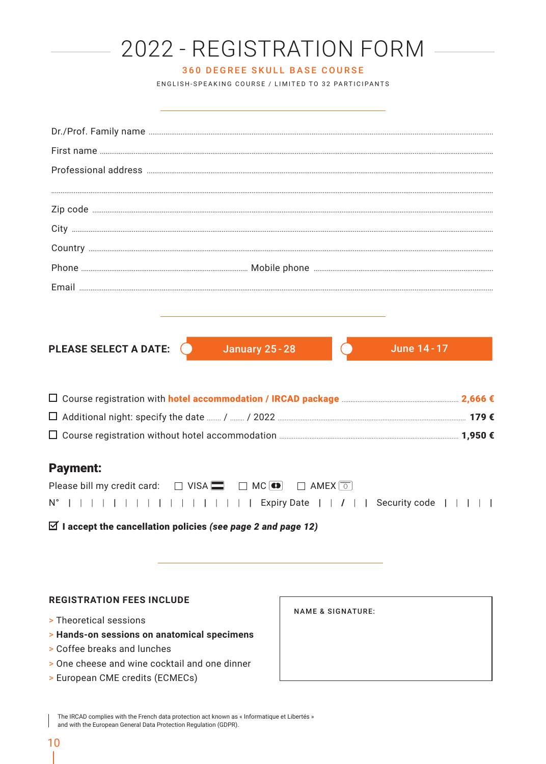| 2022 - REGISTRATION FORM                                                                    |  |
|---------------------------------------------------------------------------------------------|--|
| <b>360 DEGREE SKULL BASE COURSE</b>                                                         |  |
| ENGLISH-SPEAKING COURSE / LIMITED TO 32 PARTICIPANTS                                        |  |
|                                                                                             |  |
|                                                                                             |  |
|                                                                                             |  |
|                                                                                             |  |
|                                                                                             |  |
|                                                                                             |  |
|                                                                                             |  |
|                                                                                             |  |
|                                                                                             |  |
|                                                                                             |  |
|                                                                                             |  |
|                                                                                             |  |
| PLEASE SELECT A DATE:<br>January 25 - 28<br>June 14 - 17                                    |  |
|                                                                                             |  |
|                                                                                             |  |
|                                                                                             |  |
|                                                                                             |  |
| <b>Payment:</b>                                                                             |  |
| Please bill my credit card: $\Box$ VISA $\Box$ $\Box$ MC $\Box$ $\Box$ AMEX $\boxed{\circ}$ |  |
|                                                                                             |  |
| $\boxtimes$ I accept the cancellation policies (see page 2 and page 12)                     |  |
|                                                                                             |  |
|                                                                                             |  |

### **REGISTRATION FEES INCLUDE**

- > Theoretical sessions
- > Hands-on sessions on anatomical specimens
- > Coffee breaks and lunches
- > One cheese and wine cocktail and one dinner
- > European CME credits (ECMECs)

**NAME & SIGNATURE:** 

The IRCAD complies with the French data protection act known as « Informatique et Libertés » and with the European General Data Protection Regulation (GDPR).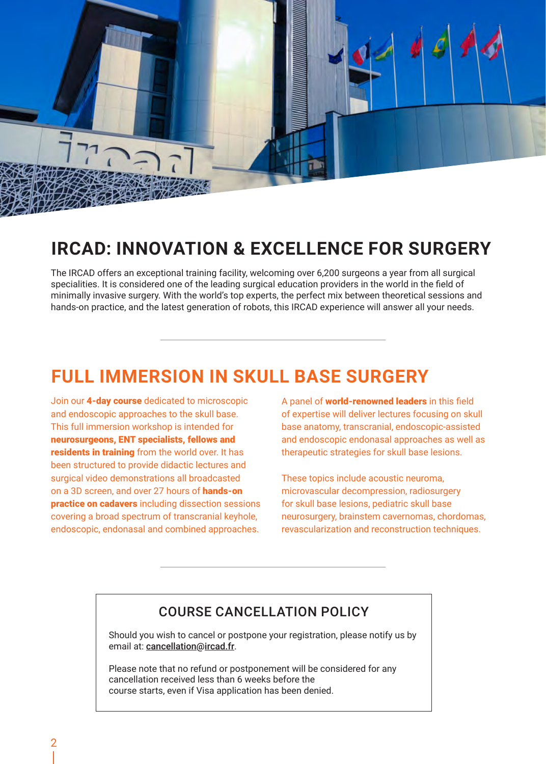

### **IRCAD: INNOVATION & EXCELLENCE FOR SURGERY**

The IRCAD offers an exceptional training facility, welcoming over 6,200 surgeons a year from all surgical specialities. It is considered one of the leading surgical education providers in the world in the field of minimally invasive surgery. With the world's top experts, the perfect mix between theoretical sessions and hands-on practice, and the latest generation of robots, this IRCAD experience will answer all your needs.

## **FULL IMMERSION IN SKULL BASE SURGERY**

Join our 4-day course dedicated to microscopic and endoscopic approaches to the skull base. This full immersion workshop is intended for neurosurgeons, ENT specialists, fellows and residents in training from the world over. It has been structured to provide didactic lectures and surgical video demonstrations all broadcasted on a 3D screen, and over 27 hours of hands-on practice on cadavers including dissection sessions covering a broad spectrum of transcranial keyhole, endoscopic, endonasal and combined approaches.

A panel of world-renowned leaders in this field of expertise will deliver lectures focusing on skull base anatomy, transcranial, endoscopic-assisted and endoscopic endonasal approaches as well as therapeutic strategies for skull base lesions.

These topics include acoustic neuroma, microvascular decompression, radiosurgery for skull base lesions, pediatric skull base neurosurgery, brainstem cavernomas, chordomas, revascularization and reconstruction techniques.

### COURSE CANCELLATION POLICY

Should you wish to cancel or postpone your registration, please notify us by email at: cancellation@ircad.fr.

Please note that no refund or postponement will be considered for any cancellation received less than 6 weeks before the course starts, even if Visa application has been denied.